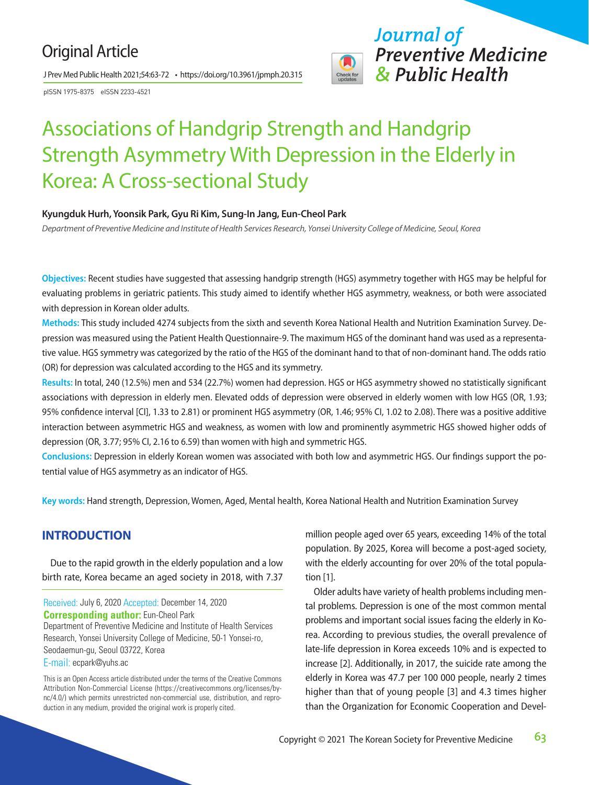# Original Article

J Prev Med Public Health 2021;54:63-72 • https://doi.org/10.3961/jpmph.20.315

pISSN 1975-8375 eISSN 2233-4521



# Associations of Handgrip Strength and Handgrip Strength Asymmetry With Depression in the Elderly in Korea: A Cross-sectional Study

#### **Kyungduk Hurh, Yoonsik Park, Gyu Ri Kim, Sung-In Jang, Eun-Cheol Park**

*Department of Preventive Medicine and Institute of Health Services Research, Yonsei University College of Medicine, Seoul, Korea*

**Objectives:** Recent studies have suggested that assessing handgrip strength (HGS) asymmetry together with HGS may be helpful for evaluating problems in geriatric patients. This study aimed to identify whether HGS asymmetry, weakness, or both were associated with depression in Korean older adults.

**Methods:** This study included 4274 subjects from the sixth and seventh Korea National Health and Nutrition Examination Survey. Depression was measured using the Patient Health Questionnaire-9. The maximum HGS of the dominant hand was used as a representative value. HGS symmetry was categorized by the ratio of the HGS of the dominant hand to that of non-dominant hand. The odds ratio (OR) for depression was calculated according to the HGS and its symmetry.

**Results:** In total, 240 (12.5%) men and 534 (22.7%) women had depression. HGS or HGS asymmetry showed no statistically significant associations with depression in elderly men. Elevated odds of depression were observed in elderly women with low HGS (OR, 1.93; 95% confidence interval [CI], 1.33 to 2.81) or prominent HGS asymmetry (OR, 1.46; 95% CI, 1.02 to 2.08). There was a positive additive interaction between asymmetric HGS and weakness, as women with low and prominently asymmetric HGS showed higher odds of depression (OR, 3.77; 95% CI, 2.16 to 6.59) than women with high and symmetric HGS.

**Conclusions:** Depression in elderly Korean women was associated with both low and asymmetric HGS. Our findings support the potential value of HGS asymmetry as an indicator of HGS.

**Key words:** Hand strength, Depression, Women, Aged, Mental health, Korea National Health and Nutrition Examination Survey

# **INTRODUCTION**

Due to the rapid growth in the elderly population and a low birth rate, Korea became an aged society in 2018, with 7.37

Received: July 6, 2020 Accepted: December 14, 2020 **Corresponding author:** Eun-Cheol Park Department of Preventive Medicine and Institute of Health Services

Research, Yonsei University College of Medicine, 50-1 Yonsei-ro, Seodaemun-gu, Seoul 03722, Korea

E-mail: ecpark@yuhs.ac

This is an Open Access article distributed under the terms of the Creative Commons Attribution Non-Commercial License (https://creativecommons.org/licenses/bync/4.0/) which permits unrestricted non-commercial use, distribution, and reproduction in any medium, provided the original work is properly cited.

million people aged over 65 years, exceeding 14% of the total population. By 2025, Korea will become a post-aged society, with the elderly accounting for over 20% of the total population [1].

Older adults have variety of health problems including mental problems. Depression is one of the most common mental problems and important social issues facing the elderly in Korea. According to previous studies, the overall prevalence of late-life depression in Korea exceeds 10% and is expected to increase [2]. Additionally, in 2017, the suicide rate among the elderly in Korea was 47.7 per 100 000 people, nearly 2 times higher than that of young people [3] and 4.3 times higher than the Organization for Economic Cooperation and Devel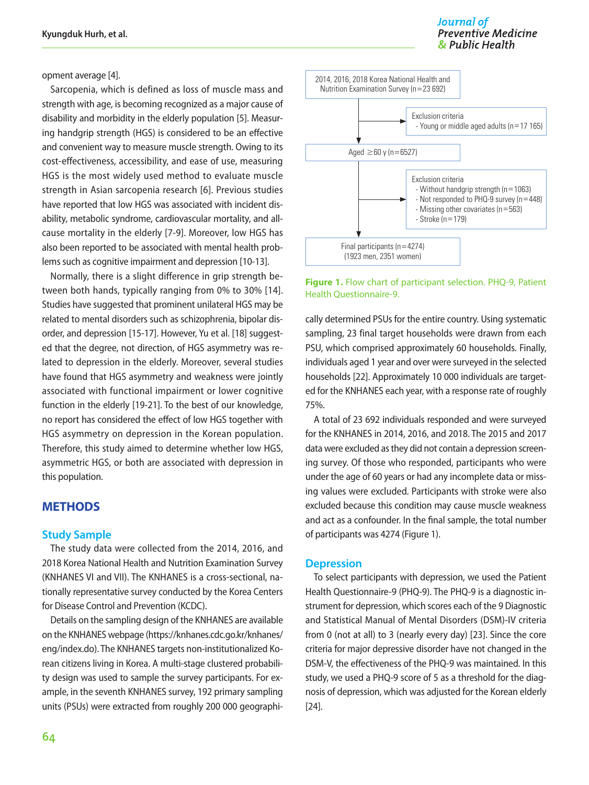opment average [4].

Sarcopenia, which is defined as loss of muscle mass and strength with age, is becoming recognized as a major cause of disability and morbidity in the elderly population [5]. Measuring handgrip strength (HGS) is considered to be an effective and convenient way to measure muscle strength. Owing to its cost-effectiveness, accessibility, and ease of use, measuring HGS is the most widely used method to evaluate muscle strength in Asian sarcopenia research [6]. Previous studies have reported that low HGS was associated with incident disability, metabolic syndrome, cardiovascular mortality, and allcause mortality in the elderly [7-9]. Moreover, low HGS has also been reported to be associated with mental health problems such as cognitive impairment and depression [10-13].

Normally, there is a slight difference in grip strength between both hands, typically ranging from 0% to 30% [14]. Studies have suggested that prominent unilateral HGS may be related to mental disorders such as schizophrenia, bipolar disorder, and depression [15-17]. However, Yu et al. [18] suggested that the degree, not direction, of HGS asymmetry was related to depression in the elderly. Moreover, several studies have found that HGS asymmetry and weakness were jointly associated with functional impairment or lower cognitive function in the elderly [19-21]. To the best of our knowledge, no report has considered the effect of low HGS together with HGS asymmetry on depression in the Korean population. Therefore, this study aimed to determine whether low HGS, asymmetric HGS, or both are associated with depression in this population.

# **METHODS**

#### **Study Sample**

The study data were collected from the 2014, 2016, and 2018 Korea National Health and Nutrition Examination Survey (KNHANES VI and VII). The KNHANES is a cross-sectional, nationally representative survey conducted by the Korea Centers for Disease Control and Prevention (KCDC).

Details on the sampling design of the KNHANES are available on the KNHANES webpage [\(https://knhanes.cdc.go.kr/knhanes/](https://knhanes.cdc.go.kr/knhanes/eng/index.do) [eng/index.do](https://knhanes.cdc.go.kr/knhanes/eng/index.do)). The KNHANES targets non-institutionalized Korean citizens living in Korea. A multi-stage clustered probability design was used to sample the survey participants. For example, in the seventh KNHANES survey, 192 primary sampling units (PSUs) were extracted from roughly 200 000 geographi-



**Figure 1.** Flow chart of participant selection. PHQ-9, Patient Health Questionnaire-9.

cally determined PSUs for the entire country. Using systematic sampling, 23 final target households were drawn from each PSU, which comprised approximately 60 households. Finally, individuals aged 1 year and over were surveyed in the selected households [22]. Approximately 10 000 individuals are targeted for the KNHANES each year, with a response rate of roughly 75%.

A total of 23 692 individuals responded and were surveyed for the KNHANES in 2014, 2016, and 2018. The 2015 and 2017 data were excluded as they did not contain a depression screening survey. Of those who responded, participants who were under the age of 60 years or had any incomplete data or missing values were excluded. Participants with stroke were also excluded because this condition may cause muscle weakness and act as a confounder. In the final sample, the total number of participants was 4274 (Figure 1).

#### **Depression**

To select participants with depression, we used the Patient Health Questionnaire-9 (PHQ-9). The PHQ-9 is a diagnostic instrument for depression, which scores each of the 9 Diagnostic and Statistical Manual of Mental Disorders (DSM)-IV criteria from 0 (not at all) to 3 (nearly every day) [23]. Since the core criteria for major depressive disorder have not changed in the DSM-V, the effectiveness of the PHQ-9 was maintained. In this study, we used a PHQ-9 score of 5 as a threshold for the diagnosis of depression, which was adjusted for the Korean elderly [24].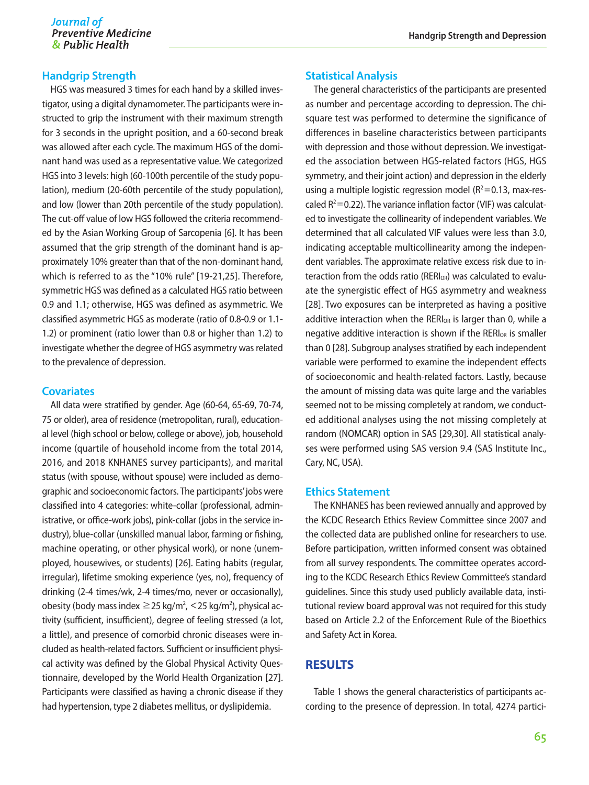### **Handgrip Strength**

HGS was measured 3 times for each hand by a skilled investigator, using a digital dynamometer. The participants were instructed to grip the instrument with their maximum strength for 3 seconds in the upright position, and a 60-second break was allowed after each cycle. The maximum HGS of the dominant hand was used as a representative value. We categorized HGS into 3 levels: high (60-100th percentile of the study population), medium (20-60th percentile of the study population), and low (lower than 20th percentile of the study population). The cut-off value of low HGS followed the criteria recommended by the Asian Working Group of Sarcopenia [6]. It has been assumed that the grip strength of the dominant hand is approximately 10% greater than that of the non-dominant hand, which is referred to as the "10% rule" [19-21,25]. Therefore, symmetric HGS was defined as a calculated HGS ratio between 0.9 and 1.1; otherwise, HGS was defined as asymmetric. We classified asymmetric HGS as moderate (ratio of 0.8-0.9 or 1.1- 1.2) or prominent (ratio lower than 0.8 or higher than 1.2) to investigate whether the degree of HGS asymmetry was related to the prevalence of depression.

#### **Covariates**

All data were stratified by gender. Age (60-64, 65-69, 70-74, 75 or older), area of residence (metropolitan, rural), educational level (high school or below, college or above), job, household income (quartile of household income from the total 2014, 2016, and 2018 KNHANES survey participants), and marital status (with spouse, without spouse) were included as demographic and socioeconomic factors. The participants' jobs were classified into 4 categories: white-collar (professional, administrative, or office-work jobs), pink-collar (jobs in the service industry), blue-collar (unskilled manual labor, farming or fishing, machine operating, or other physical work), or none (unemployed, housewives, or students) [26]. Eating habits (regular, irregular), lifetime smoking experience (yes, no), frequency of drinking (2-4 times/wk, 2-4 times/mo, never or occasionally), obesity (body mass index  $\geq$  25 kg/m<sup>2</sup>, < 25 kg/m<sup>2</sup>), physical activity (sufficient, insufficient), degree of feeling stressed (a lot, a little), and presence of comorbid chronic diseases were included as health-related factors. Sufficient or insufficient physical activity was defined by the Global Physical Activity Questionnaire, developed by the World Health Organization [27]. Participants were classified as having a chronic disease if they had hypertension, type 2 diabetes mellitus, or dyslipidemia.

#### **Statistical Analysis**

The general characteristics of the participants are presented as number and percentage according to depression. The chisquare test was performed to determine the significance of differences in baseline characteristics between participants with depression and those without depression. We investigated the association between HGS-related factors (HGS, HGS symmetry, and their joint action) and depression in the elderly using a multiple logistic regression model ( $R^2$ =0.13, max-rescaled  $R^2$  = 0.22). The variance inflation factor (VIF) was calculated to investigate the collinearity of independent variables. We determined that all calculated VIF values were less than 3.0, indicating acceptable multicollinearity among the independent variables. The approximate relative excess risk due to interaction from the odds ratio ( $RERI_{OR}$ ) was calculated to evaluate the synergistic effect of HGS asymmetry and weakness [28]. Two exposures can be interpreted as having a positive additive interaction when the RER $I_{OR}$  is larger than 0, while a negative additive interaction is shown if the RERI<sub>OR</sub> is smaller than 0 [28]. Subgroup analyses stratified by each independent variable were performed to examine the independent effects of socioeconomic and health-related factors. Lastly, because the amount of missing data was quite large and the variables seemed not to be missing completely at random, we conducted additional analyses using the not missing completely at random (NOMCAR) option in SAS [29,30]. All statistical analyses were performed using SAS version 9.4 (SAS Institute Inc., Cary, NC, USA).

#### **Ethics Statement**

The KNHANES has been reviewed annually and approved by the KCDC Research Ethics Review Committee since 2007 and the collected data are published online for researchers to use. Before participation, written informed consent was obtained from all survey respondents. The committee operates according to the KCDC Research Ethics Review Committee's standard guidelines. Since this study used publicly available data, institutional review board approval was not required for this study based on Article 2.2 of the Enforcement Rule of the Bioethics and Safety Act in Korea.

#### **RESULTS**

Table 1 shows the general characteristics of participants according to the presence of depression. In total, 4274 partici-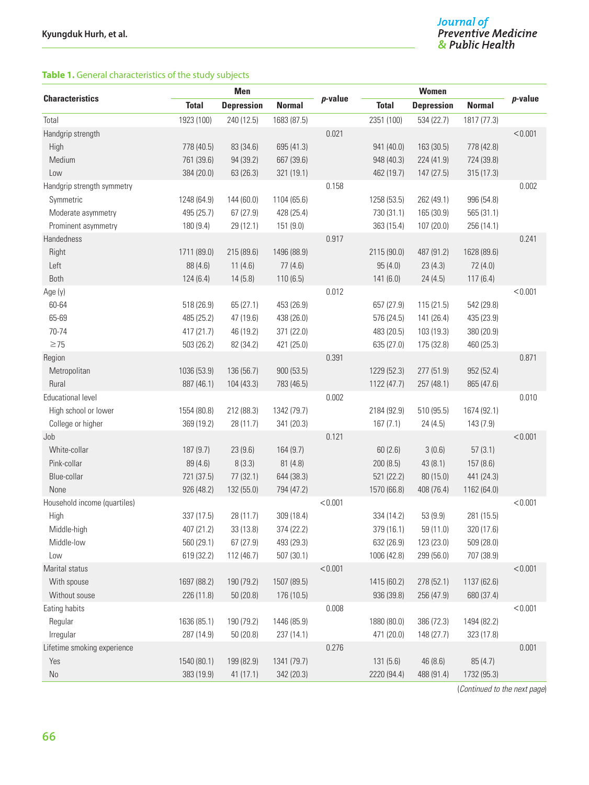# **Table 1.** General characteristics of the study subjects

| <b>Characteristics</b><br>p-value<br>$p$ -value<br><b>Depression</b><br><b>Total</b><br><b>Depression</b><br><b>Normal</b><br><b>Total</b><br><b>Normal</b><br>1923 (100)<br>1683 (87.5)<br>2351 (100)<br>Total<br>240 (12.5)<br>534 (22.7)<br>1817 (77.3)<br>0.021<br>< 0.001<br>Handgrip strength<br>High<br>83 (34.6)<br>695 (41.3)<br>163 (30.5)<br>778 (40.5)<br>941 (40.0)<br>778 (42.8) |  |
|------------------------------------------------------------------------------------------------------------------------------------------------------------------------------------------------------------------------------------------------------------------------------------------------------------------------------------------------------------------------------------------------|--|
|                                                                                                                                                                                                                                                                                                                                                                                                |  |
|                                                                                                                                                                                                                                                                                                                                                                                                |  |
|                                                                                                                                                                                                                                                                                                                                                                                                |  |
|                                                                                                                                                                                                                                                                                                                                                                                                |  |
| Medium<br>761 (39.6)<br>94 (39.2)<br>667 (39.6)<br>948 (40.3)<br>224 (41.9)<br>724 (39.8)                                                                                                                                                                                                                                                                                                      |  |
| Low<br>384 (20.0)<br>63 (26.3)<br>321 (19.1)<br>147(27.5)<br>315(17.3)<br>462 (19.7)                                                                                                                                                                                                                                                                                                           |  |
| 0.158<br>0.002<br>Handgrip strength symmetry                                                                                                                                                                                                                                                                                                                                                   |  |
| 1104 (65.6)<br>996 (54.8)<br>Symmetric<br>1248 (64.9)<br>144 (60.0)<br>1258 (53.5)<br>262 (49.1)                                                                                                                                                                                                                                                                                               |  |
| 495 (25.7)<br>67(27.9)<br>428 (25.4)<br>730 (31.1)<br>165 (30.9)<br>565 (31.1)<br>Moderate asymmetry                                                                                                                                                                                                                                                                                           |  |
| Prominent asymmetry<br>180 (9.4)<br>151 (9.0)<br>363 (15.4)<br>29 (12.1)<br>107(20.0)<br>256 (14.1)                                                                                                                                                                                                                                                                                            |  |
| Handedness<br>0.917<br>0.241                                                                                                                                                                                                                                                                                                                                                                   |  |
| Right<br>1711 (89.0)<br>215 (89.6)<br>1496 (88.9)<br>487 (91.2)<br>1628 (89.6)<br>2115 (90.0)                                                                                                                                                                                                                                                                                                  |  |
| Left<br>88 (4.6)<br>11(4.6)<br>77(4.6)<br>95(4.0)<br>23(4.3)<br>72 (4.0)                                                                                                                                                                                                                                                                                                                       |  |
| Both<br>124(6.4)<br>14(5.8)<br>110(6.5)<br>141(6.0)<br>117(6.4)<br>24(4.5)                                                                                                                                                                                                                                                                                                                     |  |
| 0.012<br>< 0.001<br>Age (y)                                                                                                                                                                                                                                                                                                                                                                    |  |
| 60-64<br>518 (26.9)<br>65(27.1)<br>453 (26.9)<br>115(21.5)<br>542 (29.8)<br>657 (27.9)                                                                                                                                                                                                                                                                                                         |  |
| 65-69<br>47 (19.6)<br>141 (26.4)<br>485 (25.2)<br>438 (26.0)<br>576 (24.5)<br>435 (23.9)                                                                                                                                                                                                                                                                                                       |  |
| 70-74<br>46 (19.2)<br>380 (20.9)<br>417 (21.7)<br>371 (22.0)<br>483 (20.5)<br>103 (19.3)                                                                                                                                                                                                                                                                                                       |  |
| $\geq$ 75<br>635 (27.0)<br>503 (26.2)<br>82 (34.2)<br>421 (25.0)<br>175 (32.8)<br>460 (25.3)                                                                                                                                                                                                                                                                                                   |  |
| 0.391<br>0.871<br>Region                                                                                                                                                                                                                                                                                                                                                                       |  |
| Metropolitan<br>136 (56.7)<br>900(53.5)<br>277(51.9)<br>1036 (53.9)<br>1229 (52.3)<br>952 (52.4)                                                                                                                                                                                                                                                                                               |  |
| Rural<br>887 (46.1)<br>1122(47.7)<br>865 (47.6)<br>104(43.3)<br>783 (46.5)<br>257(48.1)                                                                                                                                                                                                                                                                                                        |  |
| <b>Educational level</b><br>0.002<br>0.010                                                                                                                                                                                                                                                                                                                                                     |  |
| High school or lower<br>212 (88.3)<br>1342 (79.7)<br>1554 (80.8)<br>2184 (92.9)<br>510 (95.5)<br>1674 (92.1)                                                                                                                                                                                                                                                                                   |  |
| College or higher<br>369 (19.2)<br>28 (11.7)<br>341 (20.3)<br>167(7.1)<br>24(4.5)<br>143 (7.9)                                                                                                                                                                                                                                                                                                 |  |
| < 0.001<br>0.121<br>Job                                                                                                                                                                                                                                                                                                                                                                        |  |
| White-collar<br>187 (9.7)<br>23(9.6)<br>164 (9.7)<br>3(0.6)<br>57(3.1)<br>60(2.6)                                                                                                                                                                                                                                                                                                              |  |
| Pink-collar<br>8(3.3)<br>89 (4.6)<br>81(4.8)<br>200(8.5)<br>43(8.1)<br>157 (8.6)                                                                                                                                                                                                                                                                                                               |  |
| Blue-collar<br>721 (37.5)<br>77(32.1)<br>521 (22.2)<br>80 (15.0)<br>644 (38.3)<br>441 (24.3)                                                                                                                                                                                                                                                                                                   |  |
| None<br>926 (48.2)<br>132 (55.0)<br>1570 (66.8)<br>408 (76.4)<br>1162 (64.0)<br>794 (47.2)                                                                                                                                                                                                                                                                                                     |  |
| Household income (quartiles)<br>< 0.001<br>< 0.001                                                                                                                                                                                                                                                                                                                                             |  |
| 337 (17.5)<br>28 (11.7)<br>309 (18.4)<br>53(9.9)<br>281 (15.5)<br>High<br>334 (14.2)                                                                                                                                                                                                                                                                                                           |  |
| Middle-high<br>407 (21.2)<br>33 (13.8)<br>374 (22.2)<br>379 (16.1)<br>59 (11.0)<br>320 (17.6)                                                                                                                                                                                                                                                                                                  |  |
| Middle-low<br>560 (29.1)<br>67(27.9)<br>493 (29.3)<br>632 (26.9)<br>123 (23.0)<br>509 (28.0)                                                                                                                                                                                                                                                                                                   |  |
| Low<br>619 (32.2)<br>112 (46.7)<br>507(30.1)<br>1006 (42.8)<br>299 (56.0)<br>707 (38.9)                                                                                                                                                                                                                                                                                                        |  |
| Marital status<br>< 0.001<br>< 0.001                                                                                                                                                                                                                                                                                                                                                           |  |
| 1507 (89.5)<br>With spouse<br>1697 (88.2)<br>190 (79.2)<br>1415 (60.2)<br>278 (52.1)<br>1137 (62.6)                                                                                                                                                                                                                                                                                            |  |
| Without souse<br>226 (11.8)<br>50 (20.8)<br>176 (10.5)<br>256 (47.9)<br>936 (39.8)<br>680 (37.4)                                                                                                                                                                                                                                                                                               |  |
| Eating habits<br>0.008<br>< 0.001                                                                                                                                                                                                                                                                                                                                                              |  |
| 190 (79.2)<br>1446 (85.9)<br>1880 (80.0)<br>Regular<br>1636 (85.1)<br>386 (72.3)<br>1494 (82.2)                                                                                                                                                                                                                                                                                                |  |
| Irregular<br>287 (14.9)<br>50 (20.8)<br>471 (20.0)<br>237 (14.1)<br>148 (27.7)<br>323 (17.8)                                                                                                                                                                                                                                                                                                   |  |
| Lifetime smoking experience<br>0.276<br>0.001                                                                                                                                                                                                                                                                                                                                                  |  |
| 1540 (80.1)<br>199 (82.9)<br>1341 (79.7)<br>131(5.6)<br>46 (8.6)<br>85 (4.7)<br>Yes                                                                                                                                                                                                                                                                                                            |  |
| 383 (19.9)<br>41(17.1)<br>342 (20.3)<br>2220 (94.4)<br>1732 (95.3)<br>No<br>488 (91.4)                                                                                                                                                                                                                                                                                                         |  |

(*Continued to the next page*)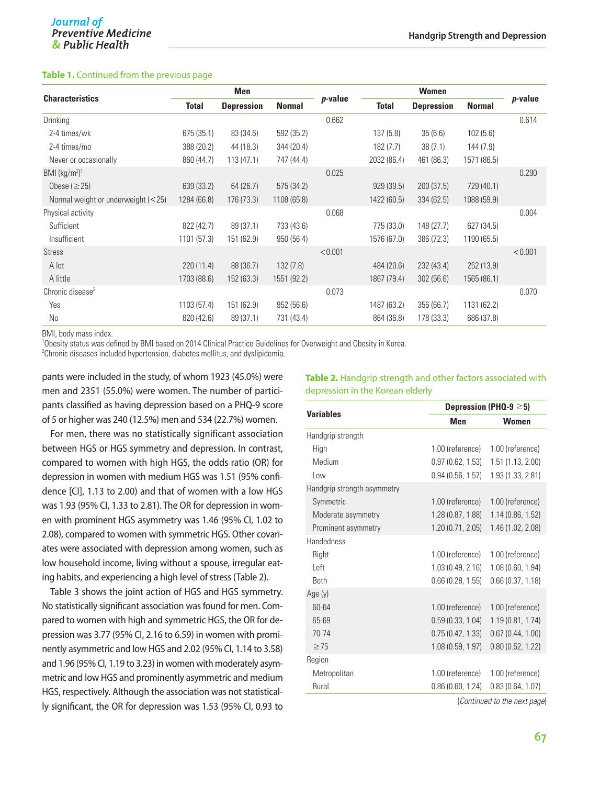#### **Table 1.** Continued from the previous page

|                                      | <b>Men</b>   |                   |               |         | <b>Women</b> |                   |               |                 |
|--------------------------------------|--------------|-------------------|---------------|---------|--------------|-------------------|---------------|-----------------|
| <b>Characteristics</b>               | <b>Total</b> | <b>Depression</b> | <b>Normal</b> | p-value | <b>Total</b> | <b>Depression</b> | <b>Normal</b> | <i>p</i> -value |
| Drinking                             |              |                   |               | 0.662   |              |                   |               | 0.614           |
| 2-4 times/wk                         | 675 (35.1)   | 83 (34.6)         | 592 (35.2)    |         | 137(5.8)     | 35(6.6)           | 102(5.6)      |                 |
| 2-4 times/mo                         | 388 (20.2)   | 44 (18.3)         | 344 (20.4)    |         | 182(7.7)     | 38(7.1)           | 144 (7.9)     |                 |
| Never or occasionally                | 860 (44.7)   | 113(47.1)         | 747 (44.4)    |         | 2032 (86.4)  | 461 (86.3)        | 1571 (86.5)   |                 |
| BMI $(kg/m2)1$                       |              |                   |               | 0.025   |              |                   |               | 0.290           |
| Obese $(\geq 25)$                    | 639 (33.2)   | 64 (26.7)         | 575 (34.2)    |         | 929 (39.5)   | 200(37.5)         | 729 (40.1)    |                 |
| Normal weight or underweight $(<25)$ | 1284 (66.8)  | 176 (73.3)        | 1108 (65.8)   |         | 1422 (60.5)  | 334 (62.5)        | 1088 (59.9)   |                 |
| Physical activity                    |              |                   |               | 0.068   |              |                   |               | 0.004           |
| Sufficient                           | 822 (42.7)   | 89 (37.1)         | 733 (43.6)    |         | 775 (33.0)   | 148 (27.7)        | 627 (34.5)    |                 |
| Insufficient                         | 1101(57.3)   | 151 (62.9)        | 950 (56.4)    |         | 1576 (67.0)  | 386 (72.3)        | 1190 (65.5)   |                 |
| <b>Stress</b>                        |              |                   |               | < 0.001 |              |                   |               | < 0.001         |
| A lot                                | 220(11.4)    | 88 (36.7)         | 132(7.8)      |         | 484 (20.6)   | 232(43.4)         | 252 (13.9)    |                 |
| A little                             | 1703 (88.6)  | 152 (63.3)        | 1551 (92.2)   |         | 1867 (79.4)  | 302(56.6)         | 1565 (86.1)   |                 |
| Chronic disease <sup>2</sup>         |              |                   |               | 0.073   |              |                   |               | 0.070           |
| Yes                                  | 1103(57.4)   | 151 (62.9)        | 952(56.6)     |         | 1487 (63.2)  | 356 (66.7)        | 1131 (62.2)   |                 |
| No                                   | 820 (42.6)   | 89 (37.1)         | 731 (43.4)    |         | 864 (36.8)   | 178 (33.3)        | 686 (37.8)    |                 |

BMI, body mass index.

1 Obesity status was defined by BMI based on 2014 Clinical Practice Guidelines for Overweight and Obesity in Korea.

 $^2$ Chronic diseases included hypertension, diabetes mellitus, and dyslipidemia.

pants were included in the study, of whom 1923 (45.0%) were men and 2351 (55.0%) were women. The number of participants classified as having depression based on a PHQ-9 score of 5 or higher was 240 (12.5%) men and 534 (22.7%) women.

For men, there was no statistically significant association between HGS or HGS symmetry and depression. In contrast, compared to women with high HGS, the odds ratio (OR) for depression in women with medium HGS was 1.51 (95% confidence [CI], 1.13 to 2.00) and that of women with a low HGS was 1.93 (95% CI, 1.33 to 2.81). The OR for depression in women with prominent HGS asymmetry was 1.46 (95% CI, 1.02 to 2.08), compared to women with symmetric HGS. Other covariates were associated with depression among women, such as low household income, living without a spouse, irregular eating habits, and experiencing a high level of stress (Table 2).

Table 3 shows the joint action of HGS and HGS symmetry. No statistically significant association was found for men. Compared to women with high and symmetric HGS, the OR for depression was 3.77 (95% CI, 2.16 to 6.59) in women with prominently asymmetric and low HGS and 2.02 (95% CI, 1.14 to 3.58) and 1.96 (95% CI, 1.19 to 3.23) in women with moderately asymmetric and low HGS and prominently asymmetric and medium HGS, respectively. Although the association was not statistically significant, the OR for depression was 1.53 (95% CI, 0.93 to

#### **Table 2.** Handgrip strength and other factors associated with depression in the Korean elderly

| <b>Variables</b>            | Depression (PHQ-9 $\geq$ 5) |                   |  |  |
|-----------------------------|-----------------------------|-------------------|--|--|
|                             | Men                         | <b>Women</b>      |  |  |
| Handgrip strength           |                             |                   |  |  |
| High                        | 1.00 (reference)            | 1.00 (reference)  |  |  |
| Medium                      | 0.97(0.62, 1.53)            | 1.51(1.13, 2.00)  |  |  |
| Low                         | 0.94(0.56, 1.57)            | 1.93 (1.33, 2.81) |  |  |
| Handgrip strength asymmetry |                             |                   |  |  |
| Symmetric                   | 1.00 (reference)            | 1.00 (reference)  |  |  |
| Moderate asymmetry          | 1.28(0.87, 1.88)            | 1.14(0.86, 1.52)  |  |  |
| Prominent asymmetry         | 1.20(0.71, 2.05)            | 1.46 (1.02, 2.08) |  |  |
| <b>Handedness</b>           |                             |                   |  |  |
| Right                       | 1.00 (reference)            | 1.00 (reference)  |  |  |
| Left                        | 1.03(0.49, 2.16)            | 1.08(0.60, 1.94)  |  |  |
| <b>Both</b>                 | 0.66(0.28, 1.55)            | 0.66(0.37, 1.18)  |  |  |
| Age (y)                     |                             |                   |  |  |
| 60-64                       | 1.00 (reference)            | 1.00 (reference)  |  |  |
| 65-69                       | 0.59(0.33, 1.04)            | 1.19(0.81, 1.74)  |  |  |
| $70 - 74$                   | 0.75(0.42, 1.33)            | 0.67(0.44, 1.00)  |  |  |
| $\geq$ 75                   | 1.08(0.59, 1.97)            | 0.80(0.52, 1.22)  |  |  |
| Region                      |                             |                   |  |  |
| Metropolitan                | 1.00 (reference)            | 1.00 (reference)  |  |  |
| Rural                       | 0.86(0.60, 1.24)            | 0.83(0.64, 1.07)  |  |  |
|                             |                             |                   |  |  |

(*Continued to the next page*)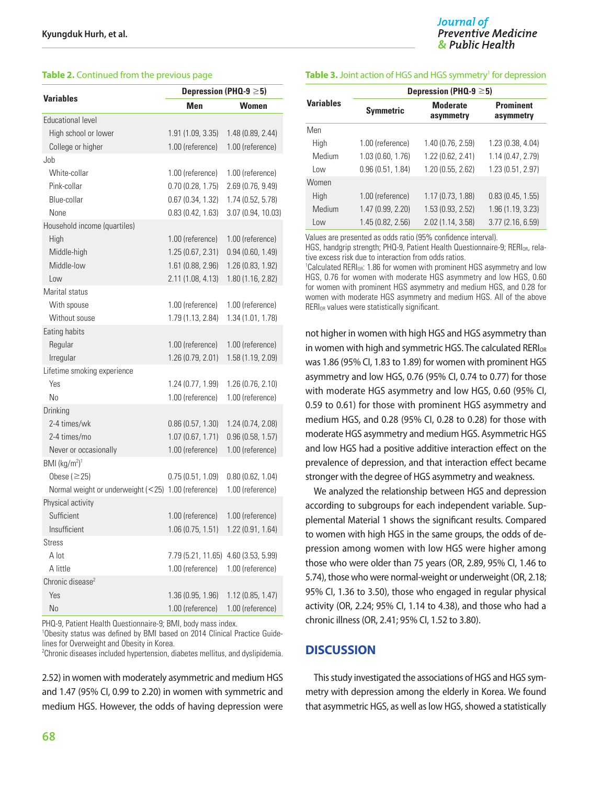|                                                     | Depression (PHQ-9 $\geq$ 5) |                    |  |  |
|-----------------------------------------------------|-----------------------------|--------------------|--|--|
| <b>Variables</b>                                    | Men                         | <b>Women</b>       |  |  |
| <b>Educational level</b>                            |                             |                    |  |  |
| High school or lower                                | 1.91 (1.09, 3.35)           | 1.48 (0.89, 2.44)  |  |  |
| College or higher                                   | 1.00 (reference)            | 1.00 (reference)   |  |  |
| Job                                                 |                             |                    |  |  |
| White-collar                                        | 1.00 (reference)            | 1.00 (reference)   |  |  |
| Pink-collar                                         | 0.70(0.28, 1.75)            | 2.69 (0.76, 9.49)  |  |  |
| Blue-collar                                         | 0.67(0.34, 1.32)            | 1.74 (0.52, 5.78)  |  |  |
| None                                                | 0.83(0.42, 1.63)            | 3.07 (0.94, 10.03) |  |  |
| Household income (quartiles)                        |                             |                    |  |  |
| High                                                | 1.00 (reference)            | 1.00 (reference)   |  |  |
| Middle-high                                         | 1.25(0.67, 2.31)            | 0.94(0.60, 1.49)   |  |  |
| Middle-low                                          | 1.61 (0.88, 2.96)           | 1.26 (0.83, 1.92)  |  |  |
| Low                                                 | 2.11 (1.08, 4.13)           | 1.80 (1.16, 2.82)  |  |  |
| Marital status                                      |                             |                    |  |  |
| With spouse                                         | 1.00 (reference)            | 1.00 (reference)   |  |  |
| Without souse                                       | 1.79 (1.13, 2.84)           | 1.34 (1.01, 1.78)  |  |  |
| Eating habits                                       |                             |                    |  |  |
| Regular                                             | 1.00 (reference)            | 1.00 (reference)   |  |  |
| Irregular                                           | 1.26 (0.79, 2.01)           | 1.58 (1.19, 2.09)  |  |  |
| Lifetime smoking experience                         |                             |                    |  |  |
| Yes                                                 | 1.24 (0.77, 1.99)           | 1.26(0.76, 2.10)   |  |  |
| No                                                  | 1.00 (reference)            | 1.00 (reference)   |  |  |
| Drinking                                            |                             |                    |  |  |
| 2-4 times/wk                                        | 0.86(0.57, 1.30)            | 1.24 (0.74, 2.08)  |  |  |
| 2-4 times/mo                                        | 1.07(0.67, 1.71)            | 0.96(0.58, 1.57)   |  |  |
| Never or occasionally                               | 1.00 (reference)            | 1.00 (reference)   |  |  |
| BMI $(kg/m2)1$                                      |                             |                    |  |  |
| Obese ( $\geq$ 25)                                  | 0.75(0.51, 1.09)            | 0.80(0.62, 1.04)   |  |  |
| Normal weight or underweight (<25) 1.00 (reference) |                             | 1.00 (reference)   |  |  |
| Physical activity                                   |                             |                    |  |  |
| Sufficient                                          | 1.00 (reference)            | 1.00 (reference)   |  |  |
| Insufficient                                        | 1.06(0.75, 1.51)            | 1.22(0.91, 1.64)   |  |  |
| Stress                                              |                             |                    |  |  |
| A lot                                               | 7.79 (5.21, 11.65)          | 4.60 (3.53, 5.99)  |  |  |
| A little                                            | 1.00 (reference)            | 1.00 (reference)   |  |  |
| Chronic disease <sup>2</sup>                        |                             |                    |  |  |
| Yes                                                 | 1.36 (0.95, 1.96)           | 1.12 (0.85, 1.47)  |  |  |
| No                                                  | 1.00 (reference)            | 1.00 (reference)   |  |  |

PHQ-9, Patient Health Questionnaire-9; BMI, body mass index.

<sup>1</sup>Obesity status was defined by BMI based on 2014 Clinical Practice Guidelines for Overweight and Obesity in Korea.

2 Chronic diseases included hypertension, diabetes mellitus, and dyslipidemia.

2.52) in women with moderately asymmetric and medium HGS and 1.47 (95% CI, 0.99 to 2.20) in women with symmetric and medium HGS. However, the odds of having depression were

#### **Table 2.** Continued from the previous page **Table 3.** Joint action of HGS and HGS symmetry<sup>1</sup> for depression

|                  | Depression (PHQ-9 $\geq$ 5) |                              |                               |  |  |  |  |
|------------------|-----------------------------|------------------------------|-------------------------------|--|--|--|--|
| <b>Variables</b> | <b>Symmetric</b>            | <b>Moderate</b><br>asymmetry | <b>Prominent</b><br>asymmetry |  |  |  |  |
| Men              |                             |                              |                               |  |  |  |  |
| High             | 1.00 (reference)            | 1.40(0.76, 2.59)             | 1.23 (0.38, 4.04)             |  |  |  |  |
| Medium           | 1.03 (0.60, 1.76)           | 1.22 (0.62, 2.41)            | 1.14 (0.47, 2.79)             |  |  |  |  |
| l nw             | 0.96(0.51, 1.84)            | 1.20(0.55, 2.62)             | 1.23 (0.51, 2.97)             |  |  |  |  |
| Women            |                             |                              |                               |  |  |  |  |
| High             | 1.00 (reference)            | 1.17(0.73, 1.88)             | 0.83(0.45, 1.55)              |  |  |  |  |
| Medium           | 1.47 (0.99, 2.20)           | 1.53(0.93, 2.52)             | 1.96 (1.19, 3.23)             |  |  |  |  |
| Low              | 1.45(0.82, 2.56)            | 2.02 (1.14, 3.58)            | 3.77 (2.16, 6.59)             |  |  |  |  |

Values are presented as odds ratio (95% confidence interval).

HGS, handgrip strength; PHQ-9, Patient Health Questionnaire-9; RERI<sub>OR</sub>, relative excess risk due to interaction from odds ratios.

<sup>1</sup>Calculated RERI<sub>OR</sub>: 1.86 for women with prominent HGS asymmetry and low HGS, 0.76 for women with moderate HGS asymmetry and low HGS, 0.60 for women with prominent HGS asymmetry and medium HGS, and 0.28 for women with moderate HGS asymmetry and medium HGS. All of the above RERIOR values were statistically significant.

not higher in women with high HGS and HGS asymmetry than in women with high and symmetric HGS. The calculated  $RERI<sub>OR</sub>$ was 1.86 (95% CI, 1.83 to 1.89) for women with prominent HGS asymmetry and low HGS, 0.76 (95% CI, 0.74 to 0.77) for those with moderate HGS asymmetry and low HGS, 0.60 (95% CI, 0.59 to 0.61) for those with prominent HGS asymmetry and medium HGS, and 0.28 (95% CI, 0.28 to 0.28) for those with moderate HGS asymmetry and medium HGS. Asymmetric HGS and low HGS had a positive additive interaction effect on the prevalence of depression, and that interaction effect became stronger with the degree of HGS asymmetry and weakness.

We analyzed the relationship between HGS and depression according to subgroups for each independent variable. Supplemental Material 1 shows the significant results. Compared to women with high HGS in the same groups, the odds of depression among women with low HGS were higher among those who were older than 75 years (OR, 2.89, 95% CI, 1.46 to 5.74), those who were normal-weight or underweight (OR, 2.18; 95% CI, 1.36 to 3.50), those who engaged in regular physical activity (OR, 2.24; 95% CI, 1.14 to 4.38), and those who had a chronic illness (OR, 2.41; 95% CI, 1.52 to 3.80).

### **DISCUSSION**

This study investigated the associations of HGS and HGS symmetry with depression among the elderly in Korea. We found that asymmetric HGS, as well as low HGS, showed a statistically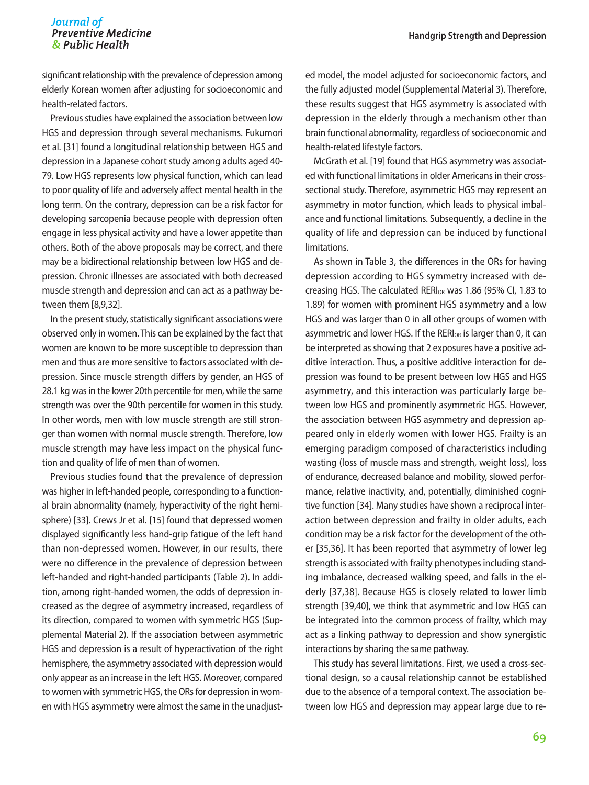significant relationship with the prevalence of depression among elderly Korean women after adjusting for socioeconomic and health-related factors.

Previous studies have explained the association between low HGS and depression through several mechanisms. Fukumori et al. [31] found a longitudinal relationship between HGS and depression in a Japanese cohort study among adults aged 40- 79. Low HGS represents low physical function, which can lead to poor quality of life and adversely affect mental health in the long term. On the contrary, depression can be a risk factor for developing sarcopenia because people with depression often engage in less physical activity and have a lower appetite than others. Both of the above proposals may be correct, and there may be a bidirectional relationship between low HGS and depression. Chronic illnesses are associated with both decreased muscle strength and depression and can act as a pathway between them [8,9,32].

In the present study, statistically significant associations were observed only in women. This can be explained by the fact that women are known to be more susceptible to depression than men and thus are more sensitive to factors associated with depression. Since muscle strength differs by gender, an HGS of 28.1 kg was in the lower 20th percentile for men, while the same strength was over the 90th percentile for women in this study. In other words, men with low muscle strength are still stronger than women with normal muscle strength. Therefore, low muscle strength may have less impact on the physical function and quality of life of men than of women.

Previous studies found that the prevalence of depression was higher in left-handed people, corresponding to a functional brain abnormality (namely, hyperactivity of the right hemisphere) [33]. Crews Jr et al. [15] found that depressed women displayed significantly less hand-grip fatigue of the left hand than non-depressed women. However, in our results, there were no difference in the prevalence of depression between left-handed and right-handed participants (Table 2). In addition, among right-handed women, the odds of depression increased as the degree of asymmetry increased, regardless of its direction, compared to women with symmetric HGS (Supplemental Material 2). If the association between asymmetric HGS and depression is a result of hyperactivation of the right hemisphere, the asymmetry associated with depression would only appear as an increase in the left HGS. Moreover, compared to women with symmetric HGS, the ORs for depression in women with HGS asymmetry were almost the same in the unadjusted model, the model adjusted for socioeconomic factors, and the fully adjusted model (Supplemental Material 3). Therefore, these results suggest that HGS asymmetry is associated with depression in the elderly through a mechanism other than brain functional abnormality, regardless of socioeconomic and health-related lifestyle factors.

McGrath et al. [19] found that HGS asymmetry was associated with functional limitations in older Americans in their crosssectional study. Therefore, asymmetric HGS may represent an asymmetry in motor function, which leads to physical imbalance and functional limitations. Subsequently, a decline in the quality of life and depression can be induced by functional limitations.

As shown in Table 3, the differences in the ORs for having depression according to HGS symmetry increased with decreasing HGS. The calculated RERI<sub>OR</sub> was 1.86 (95% CI, 1.83 to 1.89) for women with prominent HGS asymmetry and a low HGS and was larger than 0 in all other groups of women with asymmetric and lower HGS. If the RERI<sub>OR</sub> is larger than 0, it can be interpreted as showing that 2 exposures have a positive additive interaction. Thus, a positive additive interaction for depression was found to be present between low HGS and HGS asymmetry, and this interaction was particularly large between low HGS and prominently asymmetric HGS. However, the association between HGS asymmetry and depression appeared only in elderly women with lower HGS. Frailty is an emerging paradigm composed of characteristics including wasting (loss of muscle mass and strength, weight loss), loss of endurance, decreased balance and mobility, slowed performance, relative inactivity, and, potentially, diminished cognitive function [34]. Many studies have shown a reciprocal interaction between depression and frailty in older adults, each condition may be a risk factor for the development of the other [35,36]. It has been reported that asymmetry of lower leg strength is associated with frailty phenotypes including standing imbalance, decreased walking speed, and falls in the elderly [37,38]. Because HGS is closely related to lower limb strength [39,40], we think that asymmetric and low HGS can be integrated into the common process of frailty, which may act as a linking pathway to depression and show synergistic interactions by sharing the same pathway.

This study has several limitations. First, we used a cross-sectional design, so a causal relationship cannot be established due to the absence of a temporal context. The association between low HGS and depression may appear large due to re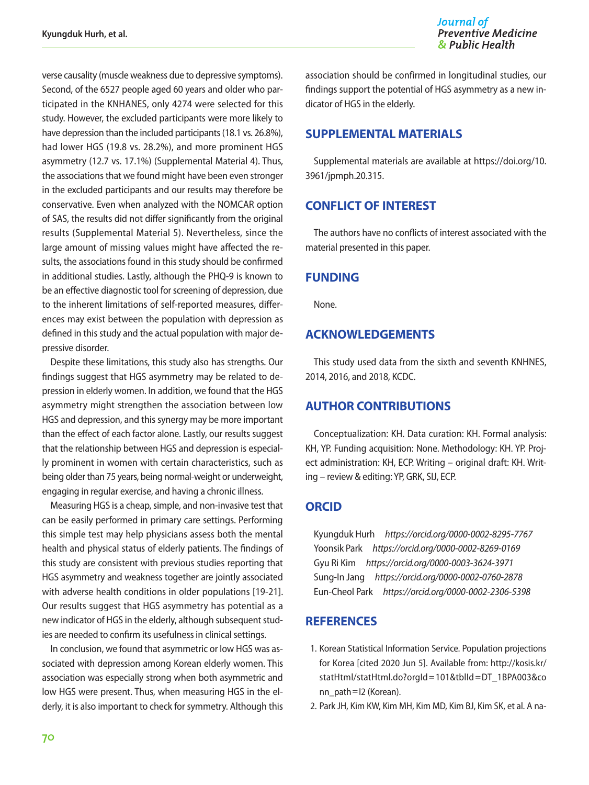verse causality (muscle weakness due to depressive symptoms). Second, of the 6527 people aged 60 years and older who participated in the KNHANES, only 4274 were selected for this study. However, the excluded participants were more likely to have depression than the included participants (18.1 vs. 26.8%), had lower HGS (19.8 vs. 28.2%), and more prominent HGS asymmetry (12.7 vs. 17.1%) (Supplemental Material 4). Thus, the associations that we found might have been even stronger in the excluded participants and our results may therefore be conservative. Even when analyzed with the NOMCAR option of SAS, the results did not differ significantly from the original results (Supplemental Material 5). Nevertheless, since the large amount of missing values might have affected the results, the associations found in this study should be confirmed in additional studies. Lastly, although the PHQ-9 is known to be an effective diagnostic tool for screening of depression, due to the inherent limitations of self-reported measures, differences may exist between the population with depression as defined in this study and the actual population with major depressive disorder.

Despite these limitations, this study also has strengths. Our findings suggest that HGS asymmetry may be related to depression in elderly women. In addition, we found that the HGS asymmetry might strengthen the association between low HGS and depression, and this synergy may be more important than the effect of each factor alone. Lastly, our results suggest that the relationship between HGS and depression is especially prominent in women with certain characteristics, such as being older than 75 years, being normal-weight or underweight, engaging in regular exercise, and having a chronic illness.

Measuring HGS is a cheap, simple, and non-invasive test that can be easily performed in primary care settings. Performing this simple test may help physicians assess both the mental health and physical status of elderly patients. The findings of this study are consistent with previous studies reporting that HGS asymmetry and weakness together are jointly associated with adverse health conditions in older populations [19-21]. Our results suggest that HGS asymmetry has potential as a new indicator of HGS in the elderly, although subsequent studies are needed to confirm its usefulness in clinical settings.

In conclusion, we found that asymmetric or low HGS was associated with depression among Korean elderly women. This association was especially strong when both asymmetric and low HGS were present. Thus, when measuring HGS in the elderly, it is also important to check for symmetry. Although this association should be confirmed in longitudinal studies, our findings support the potential of HGS asymmetry as a new indicator of HGS in the elderly.

# **SUPPLEMENTAL MATERIALS**

Supplemental materials are available at [https://doi.org/10.](https://doi.org/10.3961/jpmph.20.315) [3961/jpmph.20.315](https://doi.org/10.3961/jpmph.20.315).

# **CONFLICT OF INTEREST**

The authors have no conflicts of interest associated with the material presented in this paper.

# **FUNDING**

None.

# **ACKNOWLEDGEMENTS**

This study used data from the sixth and seventh KNHNES, 2014, 2016, and 2018, KCDC.

# **AUTHOR CONTRIBUTIONS**

Conceptualization: KH. Data curation: KH. Formal analysis: KH, YP. Funding acquisition: None. Methodology: KH. YP. Project administration: KH, ECP. Writing – original draft: KH. Writing – review & editing: YP, GRK, SIJ, ECP.

# **ORCID**

Kyungduk Hurh *https://orcid.org/0000-0002-8295-7767* Yoonsik Park *https://orcid.org/0000-0002-8269-0169* Gyu Ri Kim *https://orcid.org/0000-0003-3624-3971* Sung-In Jang *https://orcid.org/0000-0002-0760-2878* Eun-Cheol Park *https://orcid.org/0000-0002-2306-5398*

## **REFERENCES**

- 1. Korean Statistical Information Service. Population projections for Korea [cited 2020 Jun 5]. Available from: [http://kosis.kr/](http://kosis.kr/statHtml/statHtml.do?orgId=101&tblId=DT_1BPA003&conn_path=I2) [statHtml/statHtml.do?orgId](http://kosis.kr/statHtml/statHtml.do?orgId=101&tblId=DT_1BPA003&conn_path=I2)=101&tblId=DT\_1BPA003&co [nn\\_path](http://kosis.kr/statHtml/statHtml.do?orgId=101&tblId=DT_1BPA003&conn_path=I2)=I2 (Korean).
- 2. Park JH, Kim KW, Kim MH, Kim MD, Kim BJ, Kim SK, et al. A na-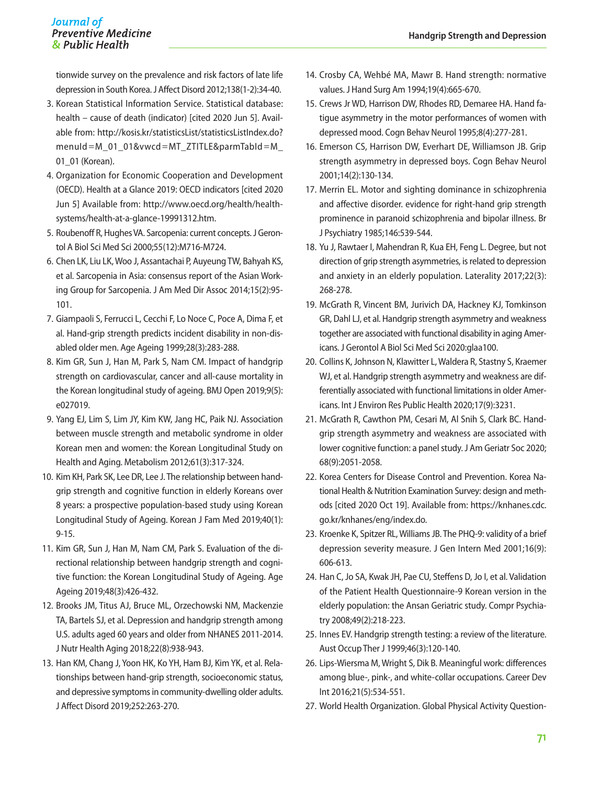tionwide survey on the prevalence and risk factors of late life depression in South Korea. J Affect Disord 2012;138(1-2):34-40.

- 3. Korean Statistical Information Service. Statistical database: health – cause of death (indicator) [cited 2020 Jun 5]. Available from: [http://kosis.kr/statisticsList/statisticsListIndex.do?](http://kosis.kr/statisticsList/statisticsListIndex.do?menuId=M_01_01&vwcd=MT_ZTITLE&parmTabId=M_01_01) menuId=M\_01\_01&vwcd=[MT\\_ZTITLE&parmTabId](http://kosis.kr/statisticsList/statisticsListIndex.do?menuId=M_01_01&vwcd=MT_ZTITLE&parmTabId=M_01_01)=M 01 01 (Korean).
- 4. Organization for Economic Cooperation and Development (OECD). Health at a Glance 2019: OECD indicators [cited 2020 Jun 5] Available from: [http://www.oecd.org/health/health](http://www.oecd.org/health/health-systems/health-at-a-glance-19991312.htm)[systems/health-at-a-glance-19991312.htm.](http://www.oecd.org/health/health-systems/health-at-a-glance-19991312.htm)
- 5. Roubenoff R, Hughes VA. Sarcopenia: current concepts. J Gerontol A Biol Sci Med Sci 2000;55(12):M716-M724.
- 6. Chen LK, Liu LK, Woo J, Assantachai P, Auyeung TW, Bahyah KS, et al. Sarcopenia in Asia: consensus report of the Asian Working Group for Sarcopenia. J Am Med Dir Assoc 2014;15(2):95- 101.
- 7. Giampaoli S, Ferrucci L, Cecchi F, Lo Noce C, Poce A, Dima F, et al. Hand-grip strength predicts incident disability in non-disabled older men. Age Ageing 1999;28(3):283-288.
- 8. Kim GR, Sun J, Han M, Park S, Nam CM. Impact of handgrip strength on cardiovascular, cancer and all-cause mortality in the Korean longitudinal study of ageing. BMJ Open 2019;9(5): e027019.
- 9. Yang EJ, Lim S, Lim JY, Kim KW, Jang HC, Paik NJ. Association between muscle strength and metabolic syndrome in older Korean men and women: the Korean Longitudinal Study on Health and Aging. Metabolism 2012;61(3):317-324.
- 10. Kim KH, Park SK, Lee DR, Lee J. The relationship between handgrip strength and cognitive function in elderly Koreans over 8 years: a prospective population-based study using Korean Longitudinal Study of Ageing. Korean J Fam Med 2019;40(1): 9-15.
- 11. Kim GR, Sun J, Han M, Nam CM, Park S. Evaluation of the directional relationship between handgrip strength and cognitive function: the Korean Longitudinal Study of Ageing. Age Ageing 2019;48(3):426-432.
- 12. Brooks JM, Titus AJ, Bruce ML, Orzechowski NM, Mackenzie TA, Bartels SJ, et al. Depression and handgrip strength among U.S. adults aged 60 years and older from NHANES 2011-2014. J Nutr Health Aging 2018;22(8):938-943.
- 13. Han KM, Chang J, Yoon HK, Ko YH, Ham BJ, Kim YK, et al. Relationships between hand-grip strength, socioeconomic status, and depressive symptoms in community-dwelling older adults. J Affect Disord 2019;252:263-270.
- 14. Crosby CA, Wehbé MA, Mawr B. Hand strength: normative values. J Hand Surg Am 1994;19(4):665-670.
- 15. Crews Jr WD, Harrison DW, Rhodes RD, Demaree HA. Hand fatigue asymmetry in the motor performances of women with depressed mood. Cogn Behav Neurol 1995;8(4):277-281.
- 16. Emerson CS, Harrison DW, Everhart DE, Williamson JB. Grip strength asymmetry in depressed boys. Cogn Behav Neurol 2001;14(2):130-134.
- 17. Merrin EL. Motor and sighting dominance in schizophrenia and affective disorder. evidence for right-hand grip strength prominence in paranoid schizophrenia and bipolar illness. Br J Psychiatry 1985;146:539-544.
- 18. Yu J, Rawtaer I, Mahendran R, Kua EH, Feng L. Degree, but not direction of grip strength asymmetries, is related to depression and anxiety in an elderly population. Laterality 2017;22(3): 268-278.
- 19. McGrath R, Vincent BM, Jurivich DA, Hackney KJ, Tomkinson GR, Dahl LJ, et al. Handgrip strength asymmetry and weakness together are associated with functional disability in aging Americans. J Gerontol A Biol Sci Med Sci 2020:glaa100.
- 20. Collins K, Johnson N, Klawitter L, Waldera R, Stastny S, Kraemer WJ, et al. Handgrip strength asymmetry and weakness are differentially associated with functional limitations in older Americans. Int J Environ Res Public Health 2020;17(9):3231.
- 21. McGrath R, Cawthon PM, Cesari M, Al Snih S, Clark BC. Handgrip strength asymmetry and weakness are associated with lower cognitive function: a panel study. J Am Geriatr Soc 2020; 68(9):2051-2058.
- 22. Korea Centers for Disease Control and Prevention. Korea National Health & Nutrition Examination Survey: design and methods [cited 2020 Oct 19]. Available from: [https://knhanes.cdc.](https://knhanes.cdc.go.kr/knhanes/eng/index.do) [go.kr/knhanes/eng/index.do](https://knhanes.cdc.go.kr/knhanes/eng/index.do).
- 23. Kroenke K, Spitzer RL, Williams JB. The PHQ-9: validity of a brief depression severity measure. J Gen Intern Med 2001;16(9): 606-613.
- 24. Han C, Jo SA, Kwak JH, Pae CU, Steffens D, Jo I, et al. Validation of the Patient Health Questionnaire-9 Korean version in the elderly population: the Ansan Geriatric study. Compr Psychiatry 2008;49(2):218-223.
- 25. Innes EV. Handgrip strength testing: a review of the literature. Aust Occup Ther J 1999;46(3):120-140.
- 26. Lips-Wiersma M, Wright S, Dik B. Meaningful work: differences among blue-, pink-, and white-collar occupations. Career Dev Int 2016;21(5):534-551.
- 27. World Health Organization. Global Physical Activity Question-